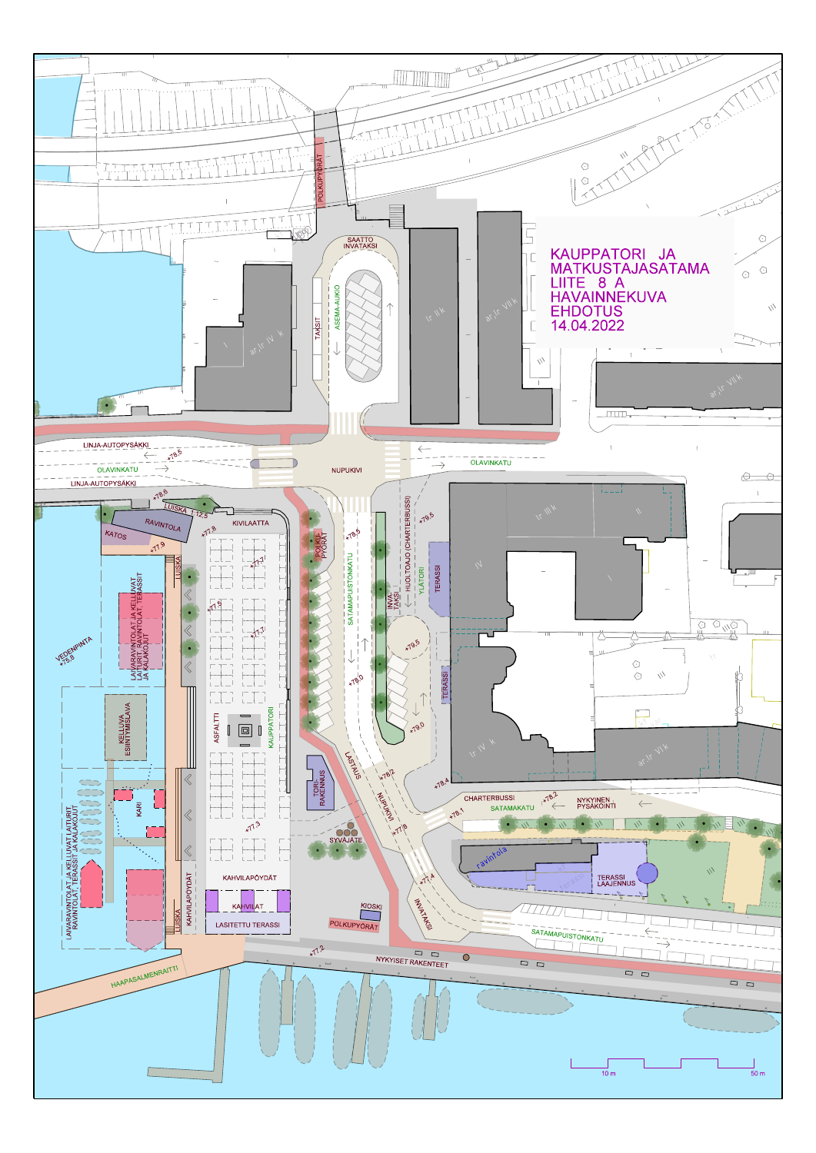